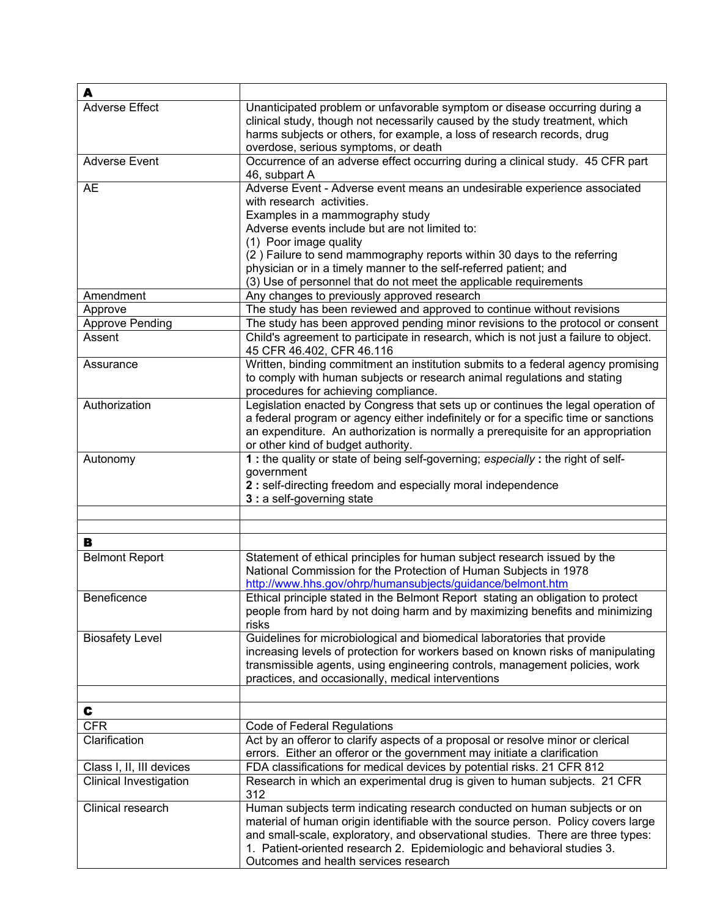| A                        |                                                                                                                                                                                                                                                                                                                                                                                                                                           |
|--------------------------|-------------------------------------------------------------------------------------------------------------------------------------------------------------------------------------------------------------------------------------------------------------------------------------------------------------------------------------------------------------------------------------------------------------------------------------------|
| <b>Adverse Effect</b>    | Unanticipated problem or unfavorable symptom or disease occurring during a<br>clinical study, though not necessarily caused by the study treatment, which<br>harms subjects or others, for example, a loss of research records, drug<br>overdose, serious symptoms, or death                                                                                                                                                              |
| <b>Adverse Event</b>     | Occurrence of an adverse effect occurring during a clinical study. 45 CFR part<br>46, subpart A                                                                                                                                                                                                                                                                                                                                           |
| <b>AE</b>                | Adverse Event - Adverse event means an undesirable experience associated<br>with research activities.<br>Examples in a mammography study<br>Adverse events include but are not limited to:<br>(1) Poor image quality<br>(2) Failure to send mammography reports within 30 days to the referring<br>physician or in a timely manner to the self-referred patient; and<br>(3) Use of personnel that do not meet the applicable requirements |
| Amendment                | Any changes to previously approved research                                                                                                                                                                                                                                                                                                                                                                                               |
| Approve                  | The study has been reviewed and approved to continue without revisions                                                                                                                                                                                                                                                                                                                                                                    |
| <b>Approve Pending</b>   | The study has been approved pending minor revisions to the protocol or consent                                                                                                                                                                                                                                                                                                                                                            |
| Assent                   | Child's agreement to participate in research, which is not just a failure to object.<br>45 CFR 46.402, CFR 46.116                                                                                                                                                                                                                                                                                                                         |
| Assurance                | Written, binding commitment an institution submits to a federal agency promising<br>to comply with human subjects or research animal regulations and stating<br>procedures for achieving compliance.                                                                                                                                                                                                                                      |
| Authorization            | Legislation enacted by Congress that sets up or continues the legal operation of<br>a federal program or agency either indefinitely or for a specific time or sanctions<br>an expenditure. An authorization is normally a prerequisite for an appropriation<br>or other kind of budget authority.                                                                                                                                         |
| Autonomy                 | 1 : the quality or state of being self-governing; especially : the right of self-<br>government<br>2 : self-directing freedom and especially moral independence<br>3 : a self-governing state                                                                                                                                                                                                                                             |
| в                        |                                                                                                                                                                                                                                                                                                                                                                                                                                           |
| <b>Belmont Report</b>    | Statement of ethical principles for human subject research issued by the                                                                                                                                                                                                                                                                                                                                                                  |
|                          | National Commission for the Protection of Human Subjects in 1978<br>http://www.hhs.gov/ohrp/humansubjects/guidance/belmont.htm                                                                                                                                                                                                                                                                                                            |
| Beneficence              | Ethical principle stated in the Belmont Report stating an obligation to protect<br>people from hard by not doing harm and by maximizing benefits and minimizing<br>risks                                                                                                                                                                                                                                                                  |
| <b>Biosafety Level</b>   | Guidelines for microbiological and biomedical laboratories that provide<br>increasing levels of protection for workers based on known risks of manipulating<br>transmissible agents, using engineering controls, management policies, work<br>practices, and occasionally, medical interventions                                                                                                                                          |
| C                        |                                                                                                                                                                                                                                                                                                                                                                                                                                           |
| <b>CFR</b>               | Code of Federal Regulations                                                                                                                                                                                                                                                                                                                                                                                                               |
| Clarification            | Act by an offeror to clarify aspects of a proposal or resolve minor or clerical<br>errors. Either an offeror or the government may initiate a clarification                                                                                                                                                                                                                                                                               |
| Class I, II, III devices | FDA classifications for medical devices by potential risks. 21 CFR 812                                                                                                                                                                                                                                                                                                                                                                    |
| Clinical Investigation   | Research in which an experimental drug is given to human subjects. 21 CFR<br>312                                                                                                                                                                                                                                                                                                                                                          |
| Clinical research        | Human subjects term indicating research conducted on human subjects or on<br>material of human origin identifiable with the source person. Policy covers large<br>and small-scale, exploratory, and observational studies. There are three types:<br>1. Patient-oriented research 2. Epidemiologic and behavioral studies 3.<br>Outcomes and health services research                                                                     |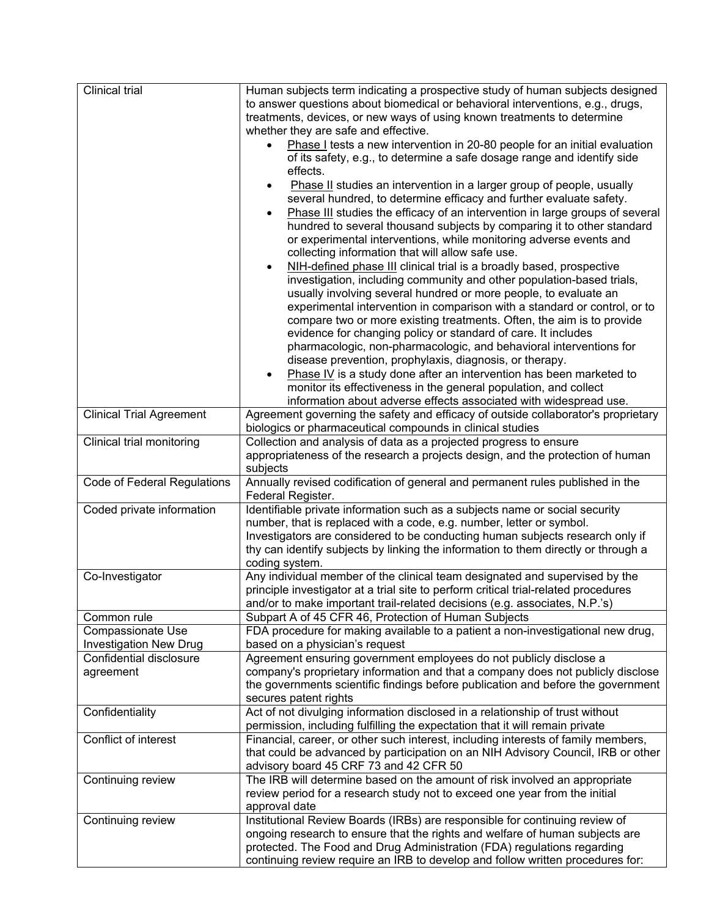| Clinical trial                                           | Human subjects term indicating a prospective study of human subjects designed                                                                             |
|----------------------------------------------------------|-----------------------------------------------------------------------------------------------------------------------------------------------------------|
|                                                          | to answer questions about biomedical or behavioral interventions, e.g., drugs,                                                                            |
|                                                          | treatments, devices, or new ways of using known treatments to determine                                                                                   |
|                                                          | whether they are safe and effective.                                                                                                                      |
|                                                          | Phase I tests a new intervention in 20-80 people for an initial evaluation                                                                                |
|                                                          | of its safety, e.g., to determine a safe dosage range and identify side                                                                                   |
|                                                          | effects.                                                                                                                                                  |
|                                                          | Phase II studies an intervention in a larger group of people, usually<br>$\bullet$                                                                        |
|                                                          | several hundred, to determine efficacy and further evaluate safety.                                                                                       |
|                                                          | Phase III studies the efficacy of an intervention in large groups of several<br>$\bullet$                                                                 |
|                                                          | hundred to several thousand subjects by comparing it to other standard                                                                                    |
|                                                          | or experimental interventions, while monitoring adverse events and                                                                                        |
|                                                          | collecting information that will allow safe use.                                                                                                          |
|                                                          | NIH-defined phase III clinical trial is a broadly based, prospective<br>$\bullet$                                                                         |
|                                                          | investigation, including community and other population-based trials,                                                                                     |
|                                                          | usually involving several hundred or more people, to evaluate an                                                                                          |
|                                                          | experimental intervention in comparison with a standard or control, or to                                                                                 |
|                                                          | compare two or more existing treatments. Often, the aim is to provide                                                                                     |
|                                                          | evidence for changing policy or standard of care. It includes                                                                                             |
|                                                          | pharmacologic, non-pharmacologic, and behavioral interventions for                                                                                        |
|                                                          | disease prevention, prophylaxis, diagnosis, or therapy.                                                                                                   |
|                                                          | Phase IV is a study done after an intervention has been marketed to<br>$\bullet$                                                                          |
|                                                          | monitor its effectiveness in the general population, and collect                                                                                          |
|                                                          | information about adverse effects associated with widespread use.                                                                                         |
| <b>Clinical Trial Agreement</b>                          | Agreement governing the safety and efficacy of outside collaborator's proprietary                                                                         |
|                                                          | biologics or pharmaceutical compounds in clinical studies                                                                                                 |
| Clinical trial monitoring                                | Collection and analysis of data as a projected progress to ensure                                                                                         |
|                                                          | appropriateness of the research a projects design, and the protection of human                                                                            |
|                                                          | subjects                                                                                                                                                  |
|                                                          |                                                                                                                                                           |
| <b>Code of Federal Regulations</b>                       | Annually revised codification of general and permanent rules published in the                                                                             |
|                                                          | Federal Register.                                                                                                                                         |
| Coded private information                                | Identifiable private information such as a subjects name or social security                                                                               |
|                                                          | number, that is replaced with a code, e.g. number, letter or symbol.                                                                                      |
|                                                          | Investigators are considered to be conducting human subjects research only if                                                                             |
|                                                          | thy can identify subjects by linking the information to them directly or through a                                                                        |
|                                                          | coding system.                                                                                                                                            |
| Co-Investigator                                          | Any individual member of the clinical team designated and supervised by the                                                                               |
|                                                          | principle investigator at a trial site to perform critical trial-related procedures                                                                       |
| Common rule                                              | and/or to make important trail-related decisions (e.g. associates, N.P.'s)                                                                                |
|                                                          | Subpart A of 45 CFR 46, Protection of Human Subjects                                                                                                      |
| Compassionate Use                                        | FDA procedure for making available to a patient a non-investigational new drug,<br>based on a physician's request                                         |
| <b>Investigation New Drug</b><br>Confidential disclosure | Agreement ensuring government employees do not publicly disclose a                                                                                        |
| agreement                                                | company's proprietary information and that a company does not publicly disclose                                                                           |
|                                                          | the governments scientific findings before publication and before the government                                                                          |
|                                                          | secures patent rights                                                                                                                                     |
| Confidentiality                                          | Act of not divulging information disclosed in a relationship of trust without                                                                             |
|                                                          | permission, including fulfilling the expectation that it will remain private                                                                              |
| Conflict of interest                                     | Financial, career, or other such interest, including interests of family members,                                                                         |
|                                                          | that could be advanced by participation on an NIH Advisory Council, IRB or other                                                                          |
|                                                          | advisory board 45 CRF 73 and 42 CFR 50                                                                                                                    |
| Continuing review                                        | The IRB will determine based on the amount of risk involved an appropriate                                                                                |
|                                                          | review period for a research study not to exceed one year from the initial                                                                                |
|                                                          | approval date                                                                                                                                             |
| Continuing review                                        | Institutional Review Boards (IRBs) are responsible for continuing review of                                                                               |
|                                                          | ongoing research to ensure that the rights and welfare of human subjects are                                                                              |
|                                                          | protected. The Food and Drug Administration (FDA) regulations regarding<br>continuing review require an IRB to develop and follow written procedures for: |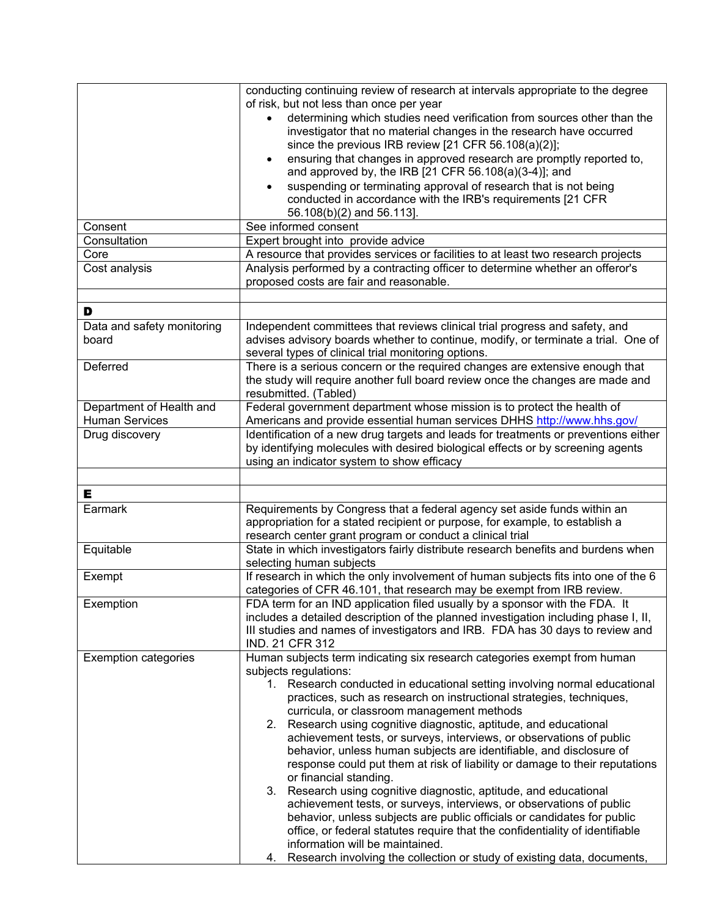|                             | conducting continuing review of research at intervals appropriate to the degree                                                                    |
|-----------------------------|----------------------------------------------------------------------------------------------------------------------------------------------------|
|                             | of risk, but not less than once per year                                                                                                           |
|                             | determining which studies need verification from sources other than the                                                                            |
|                             | investigator that no material changes in the research have occurred                                                                                |
|                             | since the previous IRB review [21 CFR 56.108(a)(2)];                                                                                               |
|                             | ensuring that changes in approved research are promptly reported to,<br>$\bullet$<br>and approved by, the IRB [21 CFR 56.108(a)(3-4)]; and         |
|                             | suspending or terminating approval of research that is not being                                                                                   |
|                             | conducted in accordance with the IRB's requirements [21 CFR                                                                                        |
|                             | 56.108(b)(2) and 56.113].                                                                                                                          |
| Consent                     | See informed consent                                                                                                                               |
| Consultation                | Expert brought into provide advice                                                                                                                 |
| Core                        | A resource that provides services or facilities to at least two research projects                                                                  |
| Cost analysis               | Analysis performed by a contracting officer to determine whether an offeror's                                                                      |
|                             | proposed costs are fair and reasonable.                                                                                                            |
|                             |                                                                                                                                                    |
| D                           |                                                                                                                                                    |
| Data and safety monitoring  | Independent committees that reviews clinical trial progress and safety, and                                                                        |
| board                       | advises advisory boards whether to continue, modify, or terminate a trial. One of                                                                  |
|                             | several types of clinical trial monitoring options.                                                                                                |
| Deferred                    | There is a serious concern or the required changes are extensive enough that                                                                       |
|                             | the study will require another full board review once the changes are made and                                                                     |
|                             | resubmitted. (Tabled)                                                                                                                              |
| Department of Health and    | Federal government department whose mission is to protect the health of                                                                            |
| <b>Human Services</b>       | Americans and provide essential human services DHHS http://www.hhs.gov/                                                                            |
| Drug discovery              | Identification of a new drug targets and leads for treatments or preventions either                                                                |
|                             | by identifying molecules with desired biological effects or by screening agents                                                                    |
|                             | using an indicator system to show efficacy                                                                                                         |
|                             |                                                                                                                                                    |
| Е                           |                                                                                                                                                    |
| Earmark                     | Requirements by Congress that a federal agency set aside funds within an                                                                           |
|                             | appropriation for a stated recipient or purpose, for example, to establish a                                                                       |
|                             | research center grant program or conduct a clinical trial                                                                                          |
| Equitable                   | State in which investigators fairly distribute research benefits and burdens when                                                                  |
|                             | selecting human subjects                                                                                                                           |
| Exempt                      | If research in which the only involvement of human subjects fits into one of the 6                                                                 |
|                             | categories of CFR 46.101, that research may be exempt from IRB review.                                                                             |
| Exemption                   | FDA term for an IND application filed usually by a sponsor with the FDA. It                                                                        |
|                             | includes a detailed description of the planned investigation including phase I, II,                                                                |
|                             | III studies and names of investigators and IRB. FDA has 30 days to review and                                                                      |
|                             | IND. 21 CFR 312                                                                                                                                    |
| <b>Exemption categories</b> | Human subjects term indicating six research categories exempt from human                                                                           |
|                             | subjects regulations:                                                                                                                              |
|                             | 1. Research conducted in educational setting involving normal educational                                                                          |
|                             | practices, such as research on instructional strategies, techniques,                                                                               |
|                             | curricula, or classroom management methods                                                                                                         |
|                             | Research using cognitive diagnostic, aptitude, and educational<br>2.                                                                               |
|                             | achievement tests, or surveys, interviews, or observations of public                                                                               |
|                             | behavior, unless human subjects are identifiable, and disclosure of<br>response could put them at risk of liability or damage to their reputations |
|                             | or financial standing.                                                                                                                             |
|                             | Research using cognitive diagnostic, aptitude, and educational<br>3.                                                                               |
|                             | achievement tests, or surveys, interviews, or observations of public                                                                               |
|                             | behavior, unless subjects are public officials or candidates for public                                                                            |
|                             | office, or federal statutes require that the confidentiality of identifiable                                                                       |
|                             | information will be maintained.                                                                                                                    |
|                             | Research involving the collection or study of existing data, documents,<br>4.                                                                      |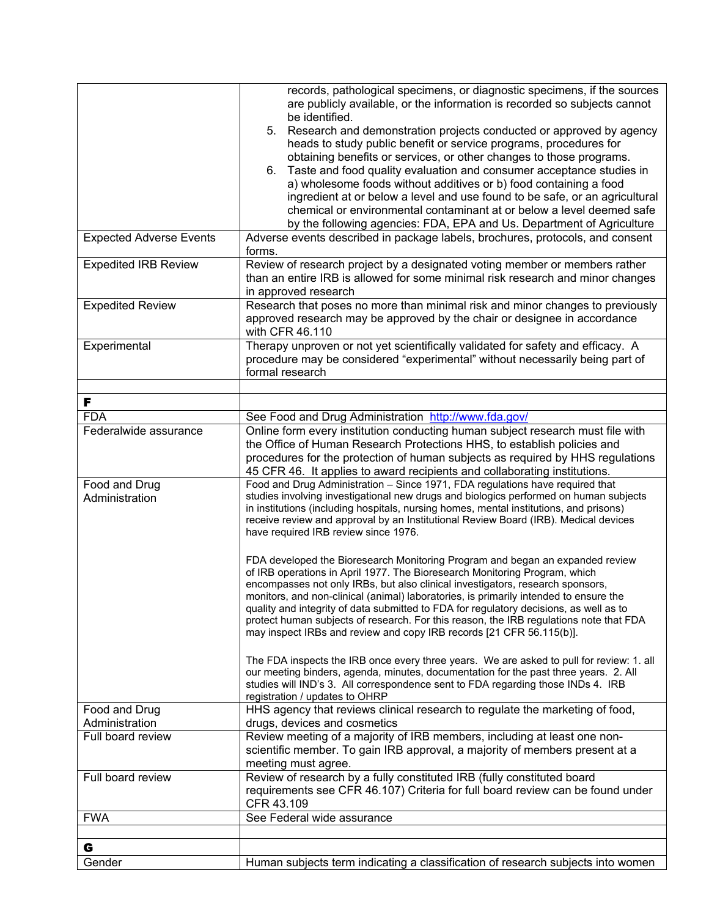|                                 | records, pathological specimens, or diagnostic specimens, if the sources<br>are publicly available, or the information is recorded so subjects cannot<br>be identified.<br>Research and demonstration projects conducted or approved by agency<br>5.<br>heads to study public benefit or service programs, procedures for<br>obtaining benefits or services, or other changes to those programs.<br>6. Taste and food quality evaluation and consumer acceptance studies in<br>a) wholesome foods without additives or b) food containing a food<br>ingredient at or below a level and use found to be safe, or an agricultural |
|---------------------------------|---------------------------------------------------------------------------------------------------------------------------------------------------------------------------------------------------------------------------------------------------------------------------------------------------------------------------------------------------------------------------------------------------------------------------------------------------------------------------------------------------------------------------------------------------------------------------------------------------------------------------------|
|                                 | chemical or environmental contaminant at or below a level deemed safe                                                                                                                                                                                                                                                                                                                                                                                                                                                                                                                                                           |
| <b>Expected Adverse Events</b>  | by the following agencies: FDA, EPA and Us. Department of Agriculture<br>Adverse events described in package labels, brochures, protocols, and consent<br>forms.                                                                                                                                                                                                                                                                                                                                                                                                                                                                |
| <b>Expedited IRB Review</b>     | Review of research project by a designated voting member or members rather<br>than an entire IRB is allowed for some minimal risk research and minor changes<br>in approved research                                                                                                                                                                                                                                                                                                                                                                                                                                            |
| <b>Expedited Review</b>         | Research that poses no more than minimal risk and minor changes to previously<br>approved research may be approved by the chair or designee in accordance<br>with CFR 46.110                                                                                                                                                                                                                                                                                                                                                                                                                                                    |
| Experimental                    | Therapy unproven or not yet scientifically validated for safety and efficacy. A<br>procedure may be considered "experimental" without necessarily being part of<br>formal research                                                                                                                                                                                                                                                                                                                                                                                                                                              |
| F                               |                                                                                                                                                                                                                                                                                                                                                                                                                                                                                                                                                                                                                                 |
| <b>FDA</b>                      | See Food and Drug Administration http://www.fda.gov/                                                                                                                                                                                                                                                                                                                                                                                                                                                                                                                                                                            |
| Federalwide assurance           | Online form every institution conducting human subject research must file with<br>the Office of Human Research Protections HHS, to establish policies and<br>procedures for the protection of human subjects as required by HHS regulations<br>45 CFR 46. It applies to award recipients and collaborating institutions.                                                                                                                                                                                                                                                                                                        |
| Food and Drug<br>Administration | Food and Drug Administration - Since 1971, FDA regulations have required that<br>studies involving investigational new drugs and biologics performed on human subjects<br>in institutions (including hospitals, nursing homes, mental institutions, and prisons)<br>receive review and approval by an Institutional Review Board (IRB). Medical devices<br>have required IRB review since 1976.                                                                                                                                                                                                                                 |
|                                 | FDA developed the Bioresearch Monitoring Program and began an expanded review<br>of IRB operations in April 1977. The Bioresearch Monitoring Program, which<br>encompasses not only IRBs, but also clinical investigators, research sponsors,<br>monitors, and non-clinical (animal) laboratories, is primarily intended to ensure the<br>quality and integrity of data submitted to FDA for regulatory decisions, as well as to<br>protect human subjects of research. For this reason, the IRB regulations note that FDA<br>may inspect IRBs and review and copy IRB records [21 CFR 56.115(b)].                              |
|                                 | The FDA inspects the IRB once every three years. We are asked to pull for review: 1. all<br>our meeting binders, agenda, minutes, documentation for the past three years. 2. All<br>studies will IND's 3. All correspondence sent to FDA regarding those INDs 4. IRB<br>registration / updates to OHRP                                                                                                                                                                                                                                                                                                                          |
| Food and Drug<br>Administration | HHS agency that reviews clinical research to regulate the marketing of food,<br>drugs, devices and cosmetics                                                                                                                                                                                                                                                                                                                                                                                                                                                                                                                    |
| Full board review               | Review meeting of a majority of IRB members, including at least one non-<br>scientific member. To gain IRB approval, a majority of members present at a<br>meeting must agree.                                                                                                                                                                                                                                                                                                                                                                                                                                                  |
| Full board review               | Review of research by a fully constituted IRB (fully constituted board<br>requirements see CFR 46.107) Criteria for full board review can be found under<br>CFR 43.109                                                                                                                                                                                                                                                                                                                                                                                                                                                          |
| <b>FWA</b>                      | See Federal wide assurance                                                                                                                                                                                                                                                                                                                                                                                                                                                                                                                                                                                                      |
| G                               |                                                                                                                                                                                                                                                                                                                                                                                                                                                                                                                                                                                                                                 |
| Gender                          | Human subjects term indicating a classification of research subjects into women                                                                                                                                                                                                                                                                                                                                                                                                                                                                                                                                                 |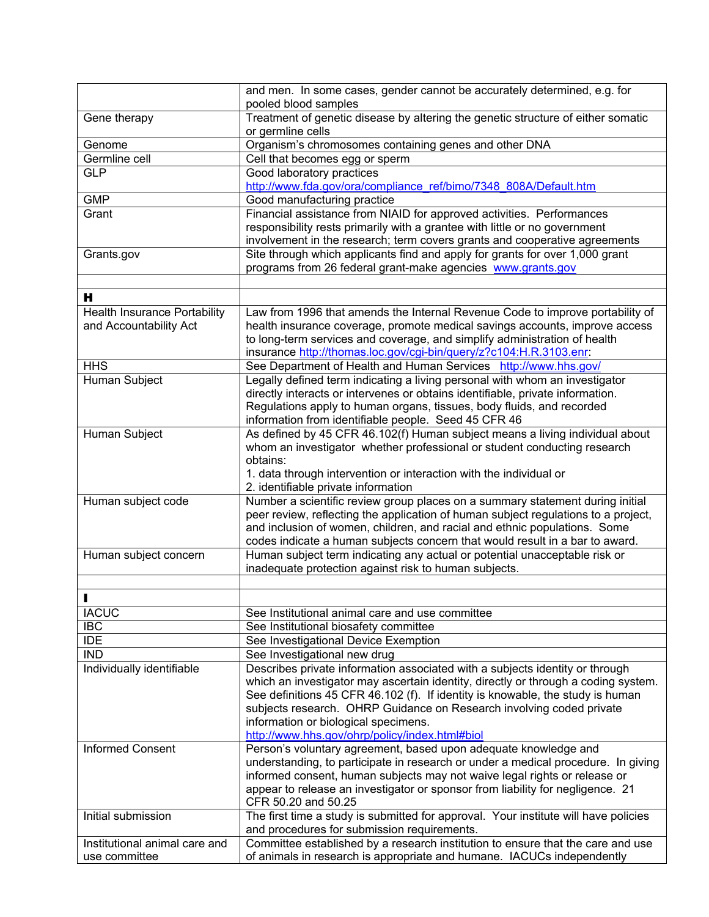|                                     | and men. In some cases, gender cannot be accurately determined, e.g. for<br>pooled blood samples |
|-------------------------------------|--------------------------------------------------------------------------------------------------|
| Gene therapy                        | Treatment of genetic disease by altering the genetic structure of either somatic                 |
|                                     | or germline cells                                                                                |
| Genome                              | Organism's chromosomes containing genes and other DNA                                            |
| Germline cell                       | Cell that becomes egg or sperm                                                                   |
| <b>GLP</b>                          | Good laboratory practices                                                                        |
|                                     | http://www.fda.gov/ora/compliance_ref/bimo/7348_808A/Default.htm                                 |
| <b>GMP</b>                          | Good manufacturing practice                                                                      |
| Grant                               | Financial assistance from NIAID for approved activities. Performances                            |
|                                     | responsibility rests primarily with a grantee with little or no government                       |
|                                     | involvement in the research; term covers grants and cooperative agreements                       |
| Grants.gov                          | Site through which applicants find and apply for grants for over 1,000 grant                     |
|                                     | programs from 26 federal grant-make agencies www.grants.gov                                      |
|                                     |                                                                                                  |
| н                                   |                                                                                                  |
| <b>Health Insurance Portability</b> | Law from 1996 that amends the Internal Revenue Code to improve portability of                    |
| and Accountability Act              | health insurance coverage, promote medical savings accounts, improve access                      |
|                                     | to long-term services and coverage, and simplify administration of health                        |
|                                     | insurance http://thomas.loc.gov/cgi-bin/query/z?c104:H.R.3103.enr:                               |
| <b>HHS</b>                          | See Department of Health and Human Services http://www.hhs.gov/                                  |
| Human Subject                       | Legally defined term indicating a living personal with whom an investigator                      |
|                                     | directly interacts or intervenes or obtains identifiable, private information.                   |
|                                     | Regulations apply to human organs, tissues, body fluids, and recorded                            |
|                                     | information from identifiable people. Seed 45 CFR 46                                             |
| Human Subject                       | As defined by 45 CFR 46.102(f) Human subject means a living individual about                     |
|                                     | whom an investigator whether professional or student conducting research                         |
|                                     | obtains:                                                                                         |
|                                     | 1. data through intervention or interaction with the individual or                               |
|                                     | 2. identifiable private information                                                              |
| Human subject code                  | Number a scientific review group places on a summary statement during initial                    |
|                                     | peer review, reflecting the application of human subject regulations to a project,               |
|                                     | and inclusion of women, children, and racial and ethnic populations. Some                        |
|                                     | codes indicate a human subjects concern that would result in a bar to award.                     |
| Human subject concern               | Human subject term indicating any actual or potential unacceptable risk or                       |
|                                     | inadequate protection against risk to human subjects.                                            |
|                                     |                                                                                                  |
|                                     |                                                                                                  |
| <b>IACUC</b>                        | See Institutional animal care and use committee                                                  |
| <b>IBC</b>                          | See Institutional biosafety committee                                                            |
| <b>IDE</b>                          | See Investigational Device Exemption                                                             |
| <b>IND</b>                          | See Investigational new drug                                                                     |
| Individually identifiable           | Describes private information associated with a subjects identity or through                     |
|                                     | which an investigator may ascertain identity, directly or through a coding system.               |
|                                     | See definitions 45 CFR 46.102 (f). If identity is knowable, the study is human                   |
|                                     | subjects research. OHRP Guidance on Research involving coded private                             |
|                                     | information or biological specimens.                                                             |
|                                     | http://www.hhs.gov/ohrp/policy/index.html#biol                                                   |
| <b>Informed Consent</b>             | Person's voluntary agreement, based upon adequate knowledge and                                  |
|                                     | understanding, to participate in research or under a medical procedure. In giving                |
|                                     | informed consent, human subjects may not waive legal rights or release or                        |
|                                     | appear to release an investigator or sponsor from liability for negligence. 21                   |
|                                     | CFR 50.20 and 50.25                                                                              |
| Initial submission                  | The first time a study is submitted for approval. Your institute will have policies              |
|                                     | and procedures for submission requirements.                                                      |
| Institutional animal care and       | Committee established by a research institution to ensure that the care and use                  |
| use committee                       | of animals in research is appropriate and humane. IACUCs independently                           |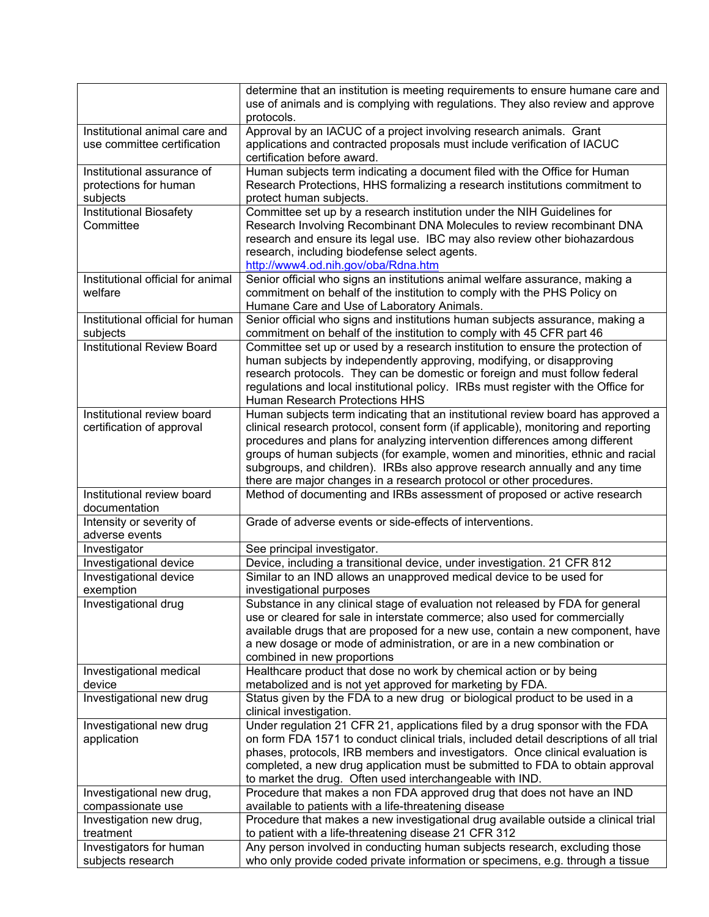|                                                                 | determine that an institution is meeting requirements to ensure humane care and<br>use of animals and is complying with regulations. They also review and approve<br>protocols.                                                                                                                                                                                                                                                                                                              |
|-----------------------------------------------------------------|----------------------------------------------------------------------------------------------------------------------------------------------------------------------------------------------------------------------------------------------------------------------------------------------------------------------------------------------------------------------------------------------------------------------------------------------------------------------------------------------|
| Institutional animal care and<br>use committee certification    | Approval by an IACUC of a project involving research animals. Grant<br>applications and contracted proposals must include verification of IACUC<br>certification before award.                                                                                                                                                                                                                                                                                                               |
| Institutional assurance of<br>protections for human<br>subjects | Human subjects term indicating a document filed with the Office for Human<br>Research Protections, HHS formalizing a research institutions commitment to<br>protect human subjects.                                                                                                                                                                                                                                                                                                          |
| <b>Institutional Biosafety</b><br>Committee                     | Committee set up by a research institution under the NIH Guidelines for<br>Research Involving Recombinant DNA Molecules to review recombinant DNA<br>research and ensure its legal use. IBC may also review other biohazardous<br>research, including biodefense select agents.<br>http://www4.od.nih.gov/oba/Rdna.htm                                                                                                                                                                       |
| Institutional official for animal<br>welfare                    | Senior official who signs an institutions animal welfare assurance, making a<br>commitment on behalf of the institution to comply with the PHS Policy on<br>Humane Care and Use of Laboratory Animals.                                                                                                                                                                                                                                                                                       |
| Institutional official for human<br>subjects                    | Senior official who signs and institutions human subjects assurance, making a<br>commitment on behalf of the institution to comply with 45 CFR part 46                                                                                                                                                                                                                                                                                                                                       |
| <b>Institutional Review Board</b>                               | Committee set up or used by a research institution to ensure the protection of<br>human subjects by independently approving, modifying, or disapproving<br>research protocols. They can be domestic or foreign and must follow federal<br>regulations and local institutional policy. IRBs must register with the Office for<br><b>Human Research Protections HHS</b>                                                                                                                        |
| Institutional review board<br>certification of approval         | Human subjects term indicating that an institutional review board has approved a<br>clinical research protocol, consent form (if applicable), monitoring and reporting<br>procedures and plans for analyzing intervention differences among different<br>groups of human subjects (for example, women and minorities, ethnic and racial<br>subgroups, and children). IRBs also approve research annually and any time<br>there are major changes in a research protocol or other procedures. |
| Institutional review board<br>documentation                     | Method of documenting and IRBs assessment of proposed or active research                                                                                                                                                                                                                                                                                                                                                                                                                     |
| Intensity or severity of<br>adverse events                      | Grade of adverse events or side-effects of interventions.                                                                                                                                                                                                                                                                                                                                                                                                                                    |
| Investigator                                                    | See principal investigator.                                                                                                                                                                                                                                                                                                                                                                                                                                                                  |
| Investigational device                                          | Device, including a transitional device, under investigation. 21 CFR 812                                                                                                                                                                                                                                                                                                                                                                                                                     |
| Investigational device<br>exemption                             | Similar to an IND allows an unapproved medical device to be used for<br>investigational purposes                                                                                                                                                                                                                                                                                                                                                                                             |
| Investigational drug                                            | Substance in any clinical stage of evaluation not released by FDA for general<br>use or cleared for sale in interstate commerce; also used for commercially<br>available drugs that are proposed for a new use, contain a new component, have<br>a new dosage or mode of administration, or are in a new combination or<br>combined in new proportions                                                                                                                                       |
| Investigational medical<br>device                               | Healthcare product that dose no work by chemical action or by being<br>metabolized and is not yet approved for marketing by FDA.                                                                                                                                                                                                                                                                                                                                                             |
| Investigational new drug                                        | Status given by the FDA to a new drug or biological product to be used in a<br>clinical investigation.                                                                                                                                                                                                                                                                                                                                                                                       |
| Investigational new drug<br>application                         | Under regulation 21 CFR 21, applications filed by a drug sponsor with the FDA<br>on form FDA 1571 to conduct clinical trials, included detail descriptions of all trial<br>phases, protocols, IRB members and investigators. Once clinical evaluation is<br>completed, a new drug application must be submitted to FDA to obtain approval<br>to market the drug. Often used interchangeable with IND.                                                                                        |
| Investigational new drug,                                       | Procedure that makes a non FDA approved drug that does not have an IND                                                                                                                                                                                                                                                                                                                                                                                                                       |
| compassionate use<br>Investigation new drug,<br>treatment       | available to patients with a life-threatening disease<br>Procedure that makes a new investigational drug available outside a clinical trial<br>to patient with a life-threatening disease 21 CFR 312                                                                                                                                                                                                                                                                                         |
| Investigators for human<br>subjects research                    | Any person involved in conducting human subjects research, excluding those<br>who only provide coded private information or specimens, e.g. through a tissue                                                                                                                                                                                                                                                                                                                                 |
|                                                                 |                                                                                                                                                                                                                                                                                                                                                                                                                                                                                              |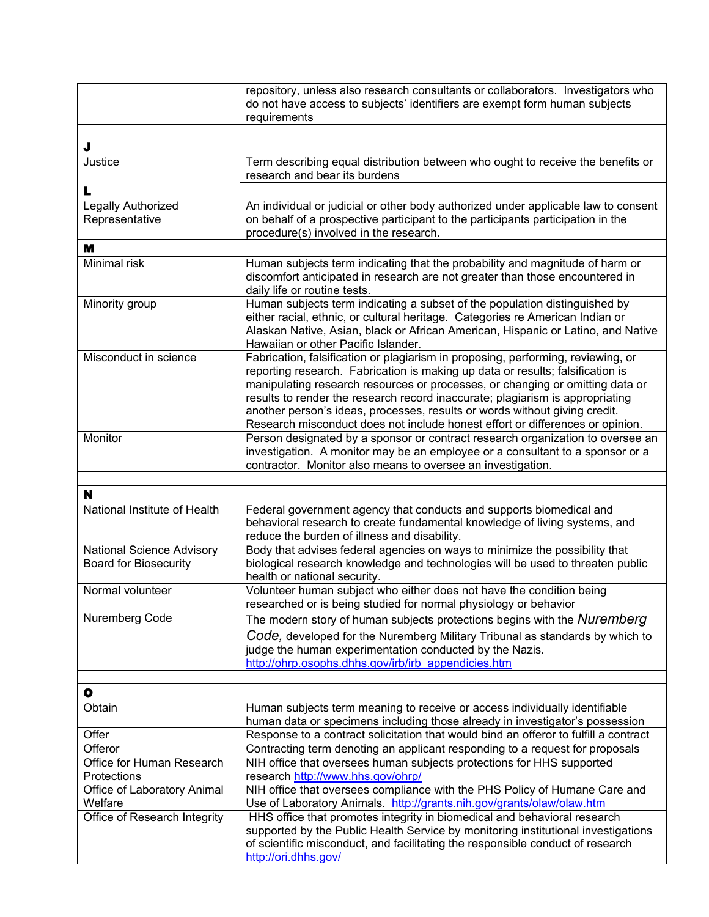|                                                           | repository, unless also research consultants or collaborators. Investigators who<br>do not have access to subjects' identifiers are exempt form human subjects<br>requirements                                                                                                                                                                                                                                                                                                                      |
|-----------------------------------------------------------|-----------------------------------------------------------------------------------------------------------------------------------------------------------------------------------------------------------------------------------------------------------------------------------------------------------------------------------------------------------------------------------------------------------------------------------------------------------------------------------------------------|
|                                                           |                                                                                                                                                                                                                                                                                                                                                                                                                                                                                                     |
| J<br>Justice                                              | Term describing equal distribution between who ought to receive the benefits or<br>research and bear its burdens                                                                                                                                                                                                                                                                                                                                                                                    |
| L                                                         |                                                                                                                                                                                                                                                                                                                                                                                                                                                                                                     |
| Legally Authorized<br>Representative                      | An individual or judicial or other body authorized under applicable law to consent<br>on behalf of a prospective participant to the participants participation in the<br>procedure(s) involved in the research.                                                                                                                                                                                                                                                                                     |
| M                                                         |                                                                                                                                                                                                                                                                                                                                                                                                                                                                                                     |
| Minimal risk                                              | Human subjects term indicating that the probability and magnitude of harm or<br>discomfort anticipated in research are not greater than those encountered in<br>daily life or routine tests.                                                                                                                                                                                                                                                                                                        |
| Minority group                                            | Human subjects term indicating a subset of the population distinguished by<br>either racial, ethnic, or cultural heritage. Categories re American Indian or<br>Alaskan Native, Asian, black or African American, Hispanic or Latino, and Native<br>Hawaiian or other Pacific Islander.                                                                                                                                                                                                              |
| Misconduct in science                                     | Fabrication, falsification or plagiarism in proposing, performing, reviewing, or<br>reporting research. Fabrication is making up data or results; falsification is<br>manipulating research resources or processes, or changing or omitting data or<br>results to render the research record inaccurate; plagiarism is appropriating<br>another person's ideas, processes, results or words without giving credit.<br>Research misconduct does not include honest effort or differences or opinion. |
| Monitor                                                   | Person designated by a sponsor or contract research organization to oversee an<br>investigation. A monitor may be an employee or a consultant to a sponsor or a<br>contractor. Monitor also means to oversee an investigation.                                                                                                                                                                                                                                                                      |
| N                                                         |                                                                                                                                                                                                                                                                                                                                                                                                                                                                                                     |
| National Institute of Health                              | Federal government agency that conducts and supports biomedical and<br>behavioral research to create fundamental knowledge of living systems, and<br>reduce the burden of illness and disability.                                                                                                                                                                                                                                                                                                   |
| National Science Advisory<br><b>Board for Biosecurity</b> | Body that advises federal agencies on ways to minimize the possibility that<br>biological research knowledge and technologies will be used to threaten public<br>health or national security.                                                                                                                                                                                                                                                                                                       |
| Normal volunteer                                          | Volunteer human subject who either does not have the condition being<br>researched or is being studied for normal physiology or behavior                                                                                                                                                                                                                                                                                                                                                            |
| Nuremberg Code                                            | The modern story of human subjects protections begins with the Nuremberg<br>Code, developed for the Nuremberg Military Tribunal as standards by which to<br>judge the human experimentation conducted by the Nazis.<br>http://ohrp.osophs.dhhs.gov/irb/irb appendicies.htm                                                                                                                                                                                                                          |
| $\bullet$                                                 |                                                                                                                                                                                                                                                                                                                                                                                                                                                                                                     |
| Obtain                                                    | Human subjects term meaning to receive or access individually identifiable<br>human data or specimens including those already in investigator's possession                                                                                                                                                                                                                                                                                                                                          |
| Offer                                                     | Response to a contract solicitation that would bind an offeror to fulfill a contract                                                                                                                                                                                                                                                                                                                                                                                                                |
| Offeror                                                   | Contracting term denoting an applicant responding to a request for proposals                                                                                                                                                                                                                                                                                                                                                                                                                        |
| Office for Human Research                                 | NIH office that oversees human subjects protections for HHS supported                                                                                                                                                                                                                                                                                                                                                                                                                               |
| Protections<br>Office of Laboratory Animal                | research http://www.hhs.gov/ohrp/<br>NIH office that oversees compliance with the PHS Policy of Humane Care and                                                                                                                                                                                                                                                                                                                                                                                     |
| Welfare                                                   | Use of Laboratory Animals. http://grants.nih.gov/grants/olaw/olaw.htm                                                                                                                                                                                                                                                                                                                                                                                                                               |
| Office of Research Integrity                              | HHS office that promotes integrity in biomedical and behavioral research<br>supported by the Public Health Service by monitoring institutional investigations<br>of scientific misconduct, and facilitating the responsible conduct of research<br>http://ori.dhhs.gov/                                                                                                                                                                                                                             |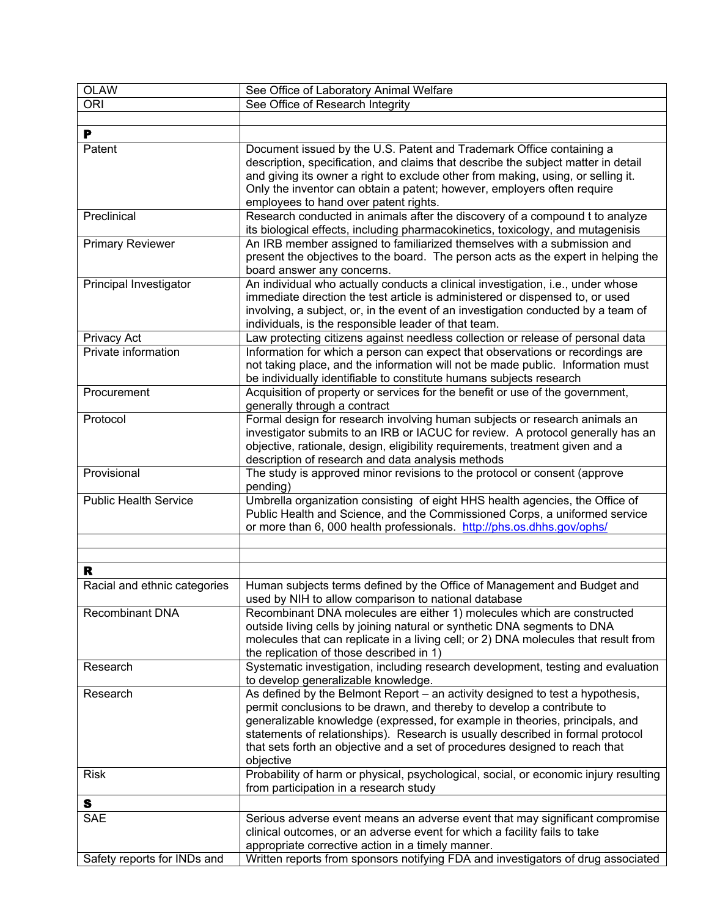| <b>OLAW</b>                  | See Office of Laboratory Animal Welfare                                              |
|------------------------------|--------------------------------------------------------------------------------------|
| <b>ORI</b>                   | See Office of Research Integrity                                                     |
|                              |                                                                                      |
| P                            |                                                                                      |
| Patent                       | Document issued by the U.S. Patent and Trademark Office containing a                 |
|                              | description, specification, and claims that describe the subject matter in detail    |
|                              | and giving its owner a right to exclude other from making, using, or selling it.     |
|                              |                                                                                      |
|                              | Only the inventor can obtain a patent; however, employers often require              |
|                              | employees to hand over patent rights.                                                |
| Preclinical                  | Research conducted in animals after the discovery of a compound t to analyze         |
|                              | its biological effects, including pharmacokinetics, toxicology, and mutagenisis      |
| <b>Primary Reviewer</b>      | An IRB member assigned to familiarized themselves with a submission and              |
|                              | present the objectives to the board. The person acts as the expert in helping the    |
|                              | board answer any concerns.                                                           |
| Principal Investigator       | An individual who actually conducts a clinical investigation, i.e., under whose      |
|                              | immediate direction the test article is administered or dispensed to, or used        |
|                              | involving, a subject, or, in the event of an investigation conducted by a team of    |
|                              | individuals, is the responsible leader of that team.                                 |
| Privacy Act                  | Law protecting citizens against needless collection or release of personal data      |
| Private information          | Information for which a person can expect that observations or recordings are        |
|                              | not taking place, and the information will not be made public. Information must      |
|                              | be individually identifiable to constitute humans subjects research                  |
| Procurement                  | Acquisition of property or services for the benefit or use of the government,        |
|                              | generally through a contract                                                         |
| Protocol                     | Formal design for research involving human subjects or research animals an           |
|                              | investigator submits to an IRB or IACUC for review. A protocol generally has an      |
|                              | objective, rationale, design, eligibility requirements, treatment given and a        |
|                              | description of research and data analysis methods                                    |
| Provisional                  | The study is approved minor revisions to the protocol or consent (approve            |
|                              | pending)                                                                             |
| <b>Public Health Service</b> | Umbrella organization consisting of eight HHS health agencies, the Office of         |
|                              | Public Health and Science, and the Commissioned Corps, a uniformed service           |
|                              | or more than 6, 000 health professionals. http://phs.os.dhhs.gov/ophs/               |
|                              |                                                                                      |
|                              |                                                                                      |
|                              |                                                                                      |
| R                            |                                                                                      |
| Racial and ethnic categories | Human subjects terms defined by the Office of Management and Budget and              |
|                              | used by NIH to allow comparison to national database                                 |
| <b>Recombinant DNA</b>       | Recombinant DNA molecules are either 1) molecules which are constructed              |
|                              | outside living cells by joining natural or synthetic DNA segments to DNA             |
|                              | molecules that can replicate in a living cell; or 2) DNA molecules that result from  |
|                              | the replication of those described in 1)                                             |
| Research                     | Systematic investigation, including research development, testing and evaluation     |
|                              | to develop generalizable knowledge.                                                  |
| Research                     | As defined by the Belmont Report - an activity designed to test a hypothesis,        |
|                              | permit conclusions to be drawn, and thereby to develop a contribute to               |
|                              | generalizable knowledge (expressed, for example in theories, principals, and         |
|                              | statements of relationships). Research is usually described in formal protocol       |
|                              | that sets forth an objective and a set of procedures designed to reach that          |
|                              | objective                                                                            |
| <b>Risk</b>                  | Probability of harm or physical, psychological, social, or economic injury resulting |
|                              | from participation in a research study                                               |
|                              |                                                                                      |
| S                            |                                                                                      |
| <b>SAE</b>                   | Serious adverse event means an adverse event that may significant compromise         |
|                              | clinical outcomes, or an adverse event for which a facility fails to take            |
|                              | appropriate corrective action in a timely manner.                                    |
| Safety reports for INDs and  | Written reports from sponsors notifying FDA and investigators of drug associated     |